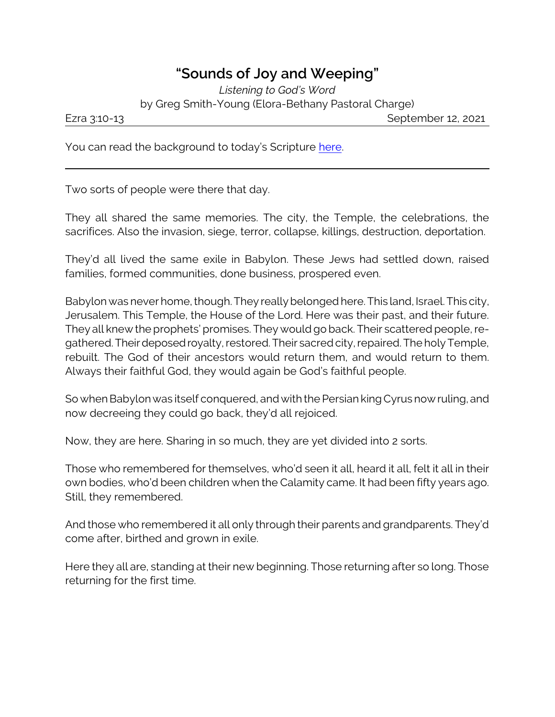## **"Sounds of Joy and Weeping"**

*Listening to God's Word* by Greg Smith-Young (Elora-Bethany Pastoral Charge)

Ezra 3:10-13 September 12, 2021

You can read the background to today's Scripture [here](https://www.biblegateway.com/passage/?search=Ezra+1%3A1-3%3A9&version=CEB).

Two sorts of people were there that day.

They all shared the same memories. The city, the Temple, the celebrations, the sacrifices. Also the invasion, siege, terror, collapse, killings, destruction, deportation.

They'd all lived the same exile in Babylon. These Jews had settled down, raised families, formed communities, done business, prospered even.

Babylon was never home, though. They really belonged here. This land, Israel. This city, Jerusalem. This Temple, the House of the Lord. Here was their past, and their future. They all knew the prophets' promises. They would go back. Their scattered people, regathered. Their deposed royalty, restored. Their sacred city, repaired. The holy Temple, rebuilt. The God of their ancestors would return them, and would return to them. Always their faithful God, they would again be God's faithful people.

So when Babylon was itself conquered, and with the Persian king Cyrus now ruling, and now decreeing they could go back, they'd all rejoiced.

Now, they are here. Sharing in so much, they are yet divided into 2 sorts.

Those who remembered for themselves, who'd seen it all, heard it all, felt it all in their own bodies, who'd been children when the Calamity came. It had been fifty years ago. Still, they remembered.

And those who remembered it all only through their parents and grandparents. They'd come after, birthed and grown in exile.

Here they all are, standing at their new beginning. Those returning after so long. Those returning for the first time.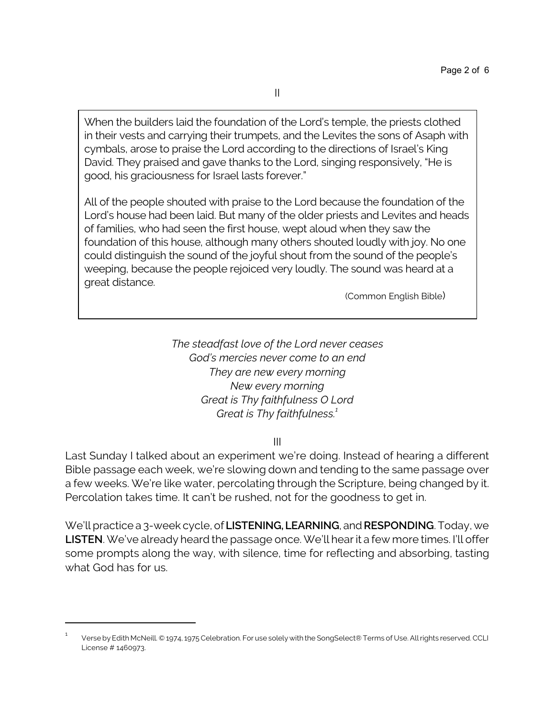When the builders laid the foundation of the Lord's temple, the priests clothed in their vests and carrying their trumpets, and the Levites the sons of Asaph with cymbals, arose to praise the Lord according to the directions of Israel's King David. They praised and gave thanks to the Lord, singing responsively, "He is good, his graciousness for Israel lasts forever."

All of the people shouted with praise to the Lord because the foundation of the Lord's house had been laid. But many of the older priests and Levites and heads of families, who had seen the first house, wept aloud when they saw the foundation of this house, although many others shouted loudly with joy. No one could distinguish the sound of the joyful shout from the sound of the people's weeping, because the people rejoiced very loudly. The sound was heard at a great distance.

(Common English Bible)

*The steadfast love of the Lord never ceases God's mercies never come to an end They are new every morning New every morning Great is Thy faithfulness O Lord Great is Thy faithfulness.<sup>1</sup>*

III

Last Sunday I talked about an experiment we're doing. Instead of hearing a different Bible passage each week, we're slowing down and tending to the same passage over a few weeks. We're like water, percolating through the Scripture, being changed by it. Percolation takes time. It can't be rushed, not for the goodness to get in.

We'll practice a 3-week cycle, of **LISTENING, LEARNING**, and **RESPONDING**. Today, we **LISTEN**. We've already heard the passage once. We'll hear it a few more times. I'll offer some prompts along the way, with silence, time for reflecting and absorbing, tasting what God has for us.

<sup>1</sup> Verse by Edith McNeill. © 1974, 1975 Celebration. For use solely with the SongSelect® Terms of Use. All rights reserved. CCLI License # 1460973.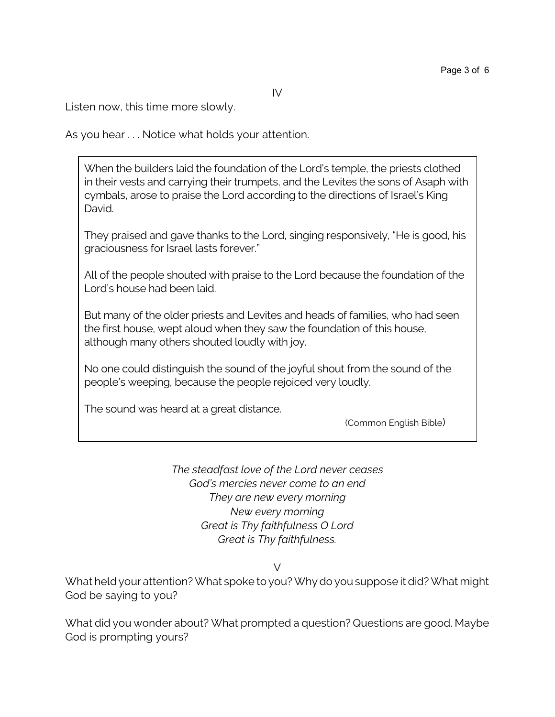Listen now, this time more slowly.

As you hear . . . Notice what holds your attention.

When the builders laid the foundation of the Lord's temple, the priests clothed in their vests and carrying their trumpets, and the Levites the sons of Asaph with cymbals, arose to praise the Lord according to the directions of Israel's King David.

They praised and gave thanks to the Lord, singing responsively, "He is good, his graciousness for Israel lasts forever."

All of the people shouted with praise to the Lord because the foundation of the Lord's house had been laid.

But many of the older priests and Levites and heads of families, who had seen the first house, wept aloud when they saw the foundation of this house, although many others shouted loudly with joy.

No one could distinguish the sound of the joyful shout from the sound of the people's weeping, because the people rejoiced very loudly.

The sound was heard at a great distance.

(Common English Bible)

*The steadfast love of the Lord never ceases God's mercies never come to an end They are new every morning New every morning Great is Thy faithfulness O Lord Great is Thy faithfulness.*

V

What held your attention? What spoke to you? Why do you suppose it did? What might God be saying to you?

What did you wonder about? What prompted a question? Questions are good. Maybe God is prompting yours?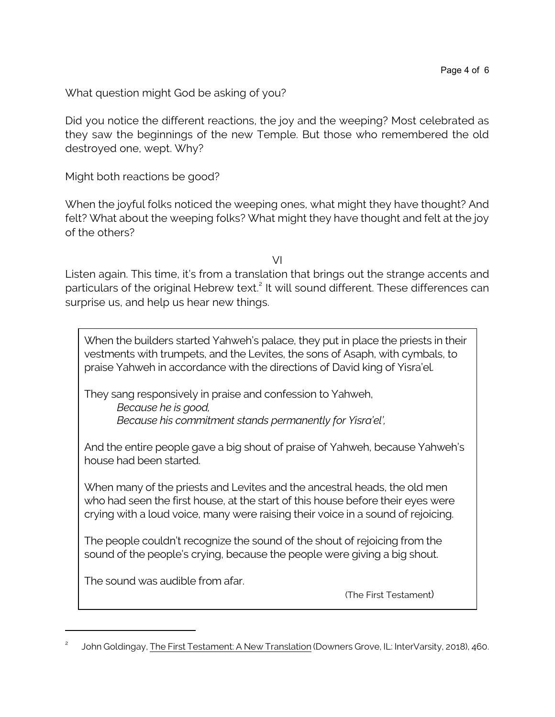What question might God be asking of you?

Did you notice the different reactions, the joy and the weeping? Most celebrated as they saw the beginnings of the new Temple. But those who remembered the old destroyed one, wept. Why?

Might both reactions be good?

When the joyful folks noticed the weeping ones, what might they have thought? And felt? What about the weeping folks? What might they have thought and felt at the joy of the others?

VI

Listen again. This time, it's from a translation that brings out the strange accents and particulars of the original Hebrew text.<sup>2</sup> It will sound different. These differences can surprise us, and help us hear new things.

When the builders started Yahweh's palace, they put in place the priests in their vestments with trumpets, and the Levites, the sons of Asaph, with cymbals, to praise Yahweh in accordance with the directions of David king of Yisra'el.

They sang responsively in praise and confession to Yahweh, *Because he is good, Because his commitment stands permanently for Yisra'el',*

And the entire people gave a big shout of praise of Yahweh, because Yahweh's house had been started.

When many of the priests and Levites and the ancestral heads, the old men who had seen the first house, at the start of this house before their eyes were crying with a loud voice, many were raising their voice in a sound of rejoicing.

The people couldn't recognize the sound of the shout of rejoicing from the sound of the people's crying, because the people were giving a big shout.

The sound was audible from afar.

(The First Testament)

<sup>2</sup> John Goldingay, The First Testament: A New Translation (Downers Grove, IL: InterVarsity, 2018), 460.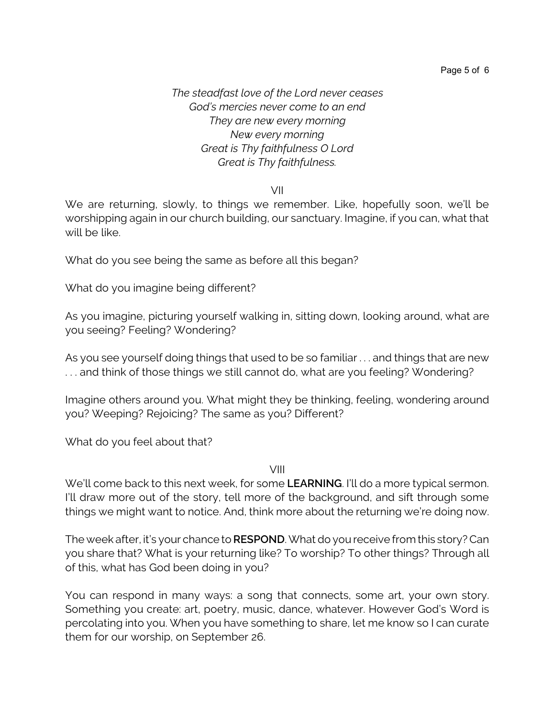*The steadfast love of the Lord never ceases God's mercies never come to an end They are new every morning New every morning Great is Thy faithfulness O Lord Great is Thy faithfulness.*

VII

We are returning, slowly, to things we remember. Like, hopefully soon, we'll be worshipping again in our church building, our sanctuary. Imagine, if you can, what that will be like.

What do you see being the same as before all this began?

What do you imagine being different?

As you imagine, picturing yourself walking in, sitting down, looking around, what are you seeing? Feeling? Wondering?

As you see yourself doing things that used to be so familiar . . . and things that are new . . . and think of those things we still cannot do, what are you feeling? Wondering?

Imagine others around you. What might they be thinking, feeling, wondering around you? Weeping? Rejoicing? The same as you? Different?

What do you feel about that?

VIII

We'll come back to this next week, for some **LEARNING**. I'll do a more typical sermon. I'll draw more out of the story, tell more of the background, and sift through some things we might want to notice. And, think more about the returning we're doing now.

The week after, it's your chance to**RESPOND**. What do you receive from this story? Can you share that? What is your returning like? To worship? To other things? Through all of this, what has God been doing in you?

You can respond in many ways: a song that connects, some art, your own story. Something you create: art, poetry, music, dance, whatever. However God's Word is percolating into you. When you have something to share, let me know so I can curate them for our worship, on September 26.